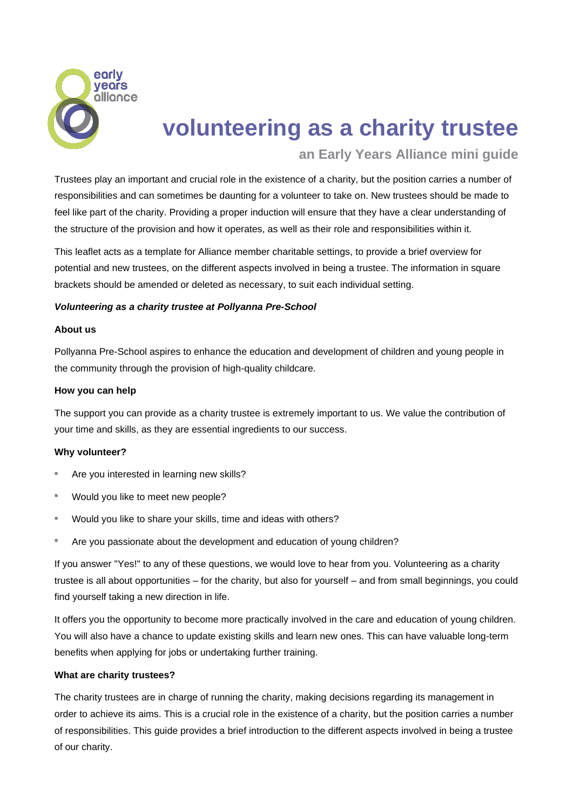

# **volunteering as a charity trustee**

# **an Early Years Alliance mini guide**

Trustees play an important and crucial role in the existence of a charity, but the position carries a number of responsibilities and can sometimes be daunting for a volunteer to take on. New trustees should be made to feel like part of the charity. Providing a proper induction will ensure that they have a clear understanding of the structure of the provision and how it operates, as well as their role and responsibilities within it.

This leaflet acts as a template for Alliance member charitable settings, to provide a brief overview for potential and new trustees, on the different aspects involved in being a trustee. The information in square brackets should be amended or deleted as necessary, to suit each individual setting.

# *Volunteering as a charity trustee at Pollyanna Pre-School*

# **About us**

Pollyanna Pre-School aspires to enhance the education and development of children and young people in the community through the provision of high-quality childcare.

# **How you can help**

The support you can provide as a charity trustee is extremely important to us. We value the contribution of your time and skills, as they are essential ingredients to our success.

# **Why volunteer?**

- Are you interested in learning new skills?
- Would you like to meet new people?
- Would you like to share your skills, time and ideas with others?
- Are you passionate about the development and education of young children?

If you answer "Yes!" to any of these questions, we would love to hear from you. Volunteering as a charity trustee is all about opportunities – for the charity, but also for yourself – and from small beginnings, you could find yourself taking a new direction in life.

It offers you the opportunity to become more practically involved in the care and education of young children. You will also have a chance to update existing skills and learn new ones. This can have valuable long-term benefits when applying for jobs or undertaking further training.

# **What are charity trustees?**

The charity trustees are in charge of running the charity, making decisions regarding its management in order to achieve its aims. This is a crucial role in the existence of a charity, but the position carries a number of responsibilities. This guide provides a brief introduction to the different aspects involved in being a trustee of our charity.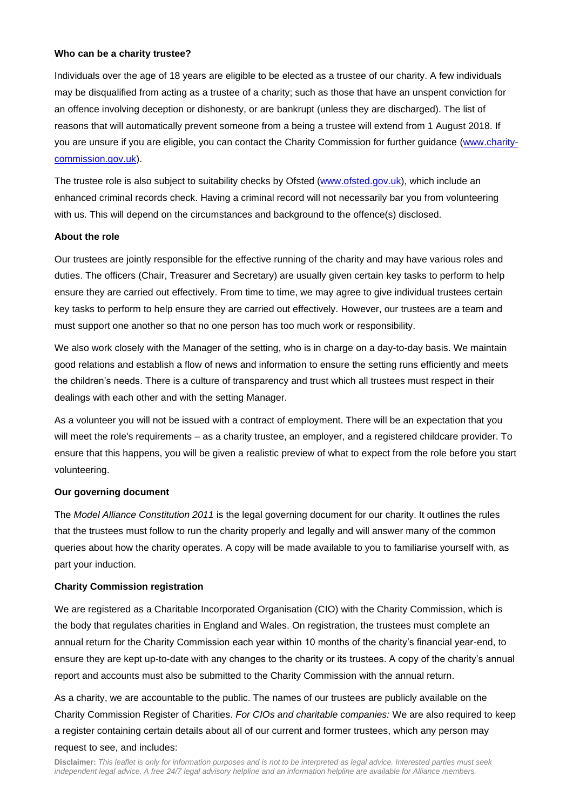#### **Who can be a charity trustee?**

Individuals over the age of 18 years are eligible to be elected as a trustee of our charity. A few individuals may be disqualified from acting as a trustee of a charity; such as those that have an unspent conviction for an offence involving deception or dishonesty, or are bankrupt (unless they are discharged). The list of reasons that will automatically prevent someone from a being a trustee will extend from 1 August 2018. If you are unsure if you are eligible, you can contact the Charity Commission for further guidance [\(www.charity](http://www.charity-commission.gov.uk/)[commission.gov.uk\)](http://www.charity-commission.gov.uk/).

The trustee role is also subject to suitability checks by Ofsted [\(www.ofsted.gov.uk\)](http://www.ofsted.gov.uk/), which include an enhanced criminal records check. Having a criminal record will not necessarily bar you from volunteering with us. This will depend on the circumstances and background to the offence(s) disclosed.

### **About the role**

Our trustees are jointly responsible for the effective running of the charity and may have various roles and duties. The officers (Chair, Treasurer and Secretary) are usually given certain key tasks to perform to help ensure they are carried out effectively. From time to time, we may agree to give individual trustees certain key tasks to perform to help ensure they are carried out effectively. However, our trustees are a team and must support one another so that no one person has too much work or responsibility.

We also work closely with the Manager of the setting, who is in charge on a day-to-day basis. We maintain good relations and establish a flow of news and information to ensure the setting runs efficiently and meets the children's needs. There is a culture of transparency and trust which all trustees must respect in their dealings with each other and with the setting Manager.

As a volunteer you will not be issued with a contract of employment. There will be an expectation that you will meet the role's requirements – as a charity trustee, an employer, and a registered childcare provider. To ensure that this happens, you will be given a realistic preview of what to expect from the role before you start volunteering.

# **Our governing document**

The *Model Alliance Constitution 2011* is the legal governing document for our charity. It outlines the rules that the trustees must follow to run the charity properly and legally and will answer many of the common queries about how the charity operates. A copy will be made available to you to familiarise yourself with, as part your induction.

#### **Charity Commission registration**

We are registered as a Charitable Incorporated Organisation (CIO) with the Charity Commission, which is the body that regulates charities in England and Wales. On registration, the trustees must complete an annual return for the Charity Commission each year within 10 months of the charity's financial year-end, to ensure they are kept up-to-date with any changes to the charity or its trustees. A copy of the charity's annual report and accounts must also be submitted to the Charity Commission with the annual return.

As a charity, we are accountable to the public. The names of our trustees are publicly available on the Charity Commission Register of Charities. *For CIOs and charitable companies:* We are also required to keep a register containing certain details about all of our current and former trustees, which any person may request to see, and includes: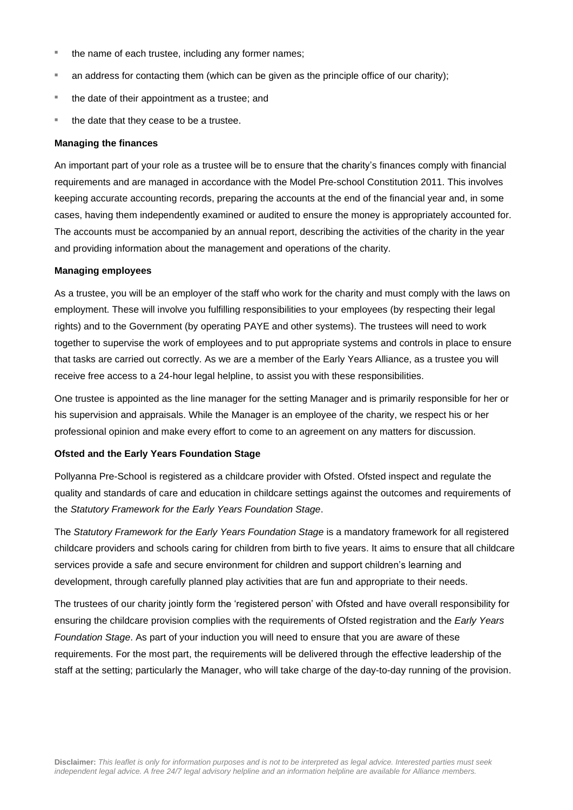- the name of each trustee, including any former names;
- an address for contacting them (which can be given as the principle office of our charity);
- the date of their appointment as a trustee; and
- the date that they cease to be a trustee.

#### **Managing the finances**

An important part of your role as a trustee will be to ensure that the charity's finances comply with financial requirements and are managed in accordance with the Model Pre-school Constitution 2011. This involves keeping accurate accounting records, preparing the accounts at the end of the financial year and, in some cases, having them independently examined or audited to ensure the money is appropriately accounted for. The accounts must be accompanied by an annual report, describing the activities of the charity in the year and providing information about the management and operations of the charity.

### **Managing employees**

As a trustee, you will be an employer of the staff who work for the charity and must comply with the laws on employment. These will involve you fulfilling responsibilities to your employees (by respecting their legal rights) and to the Government (by operating PAYE and other systems). The trustees will need to work together to supervise the work of employees and to put appropriate systems and controls in place to ensure that tasks are carried out correctly. As we are a member of the Early Years Alliance, as a trustee you will receive free access to a 24-hour legal helpline, to assist you with these responsibilities.

One trustee is appointed as the line manager for the setting Manager and is primarily responsible for her or his supervision and appraisals. While the Manager is an employee of the charity, we respect his or her professional opinion and make every effort to come to an agreement on any matters for discussion.

# **Ofsted and the Early Years Foundation Stage**

Pollyanna Pre-School is registered as a childcare provider with Ofsted. Ofsted inspect and regulate the quality and standards of care and education in childcare settings against the outcomes and requirements of the *Statutory Framework for the Early Years Foundation Stage*.

The *Statutory Framework for the Early Years Foundation Stage* is a mandatory framework for all registered childcare providers and schools caring for children from birth to five years. It aims to ensure that all childcare services provide a safe and secure environment for children and support children's learning and development, through carefully planned play activities that are fun and appropriate to their needs.

The trustees of our charity jointly form the 'registered person' with Ofsted and have overall responsibility for ensuring the childcare provision complies with the requirements of Ofsted registration and the *Early Years Foundation Stage*. As part of your induction you will need to ensure that you are aware of these requirements. For the most part, the requirements will be delivered through the effective leadership of the staff at the setting; particularly the Manager, who will take charge of the day-to-day running of the provision.